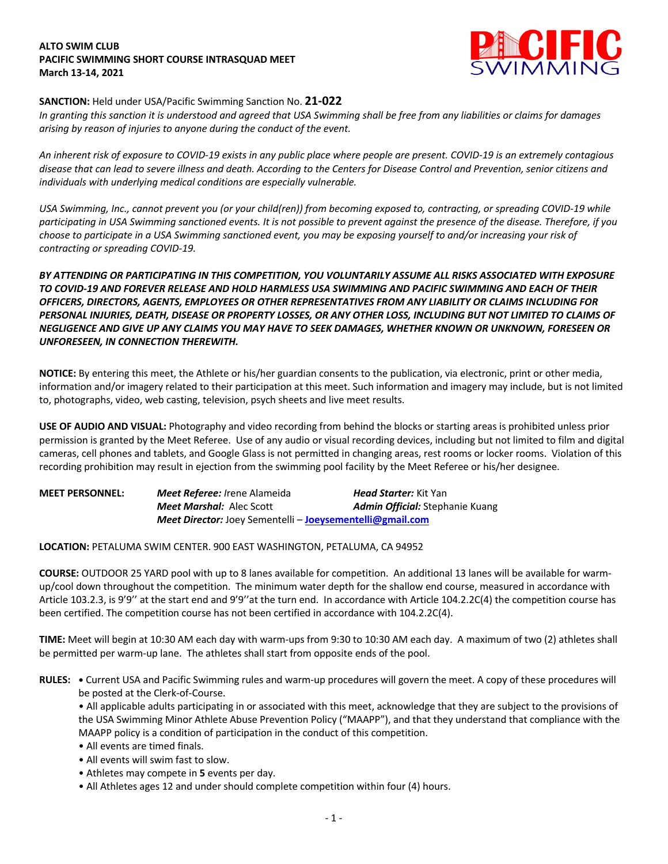## **ALTO SWIM CLUB PACIFIC SWIMMING SHORT COURSE INTRASQUAD MEET March 13-14, 2021**



# **SANCTION:** Held under USA/Pacific Swimming Sanction No. **21-022**

*In granting this sanction it is understood and agreed that USA Swimming shall be free from any liabilities or claims for damages arising by reason of injuries to anyone during the conduct of the event.* 

*An inherent risk of exposure to COVID-19 exists in any public place where people are present. COVID-19 is an extremely contagious disease that can lead to severe illness and death. According to the Centers for Disease Control and Prevention, senior citizens and individuals with underlying medical conditions are especially vulnerable.*

*USA Swimming, Inc., cannot prevent you (or your child(ren)) from becoming exposed to, contracting, or spreading COVID-19 while participating in USA Swimming sanctioned events. It is not possible to prevent against the presence of the disease. Therefore, if you choose to participate in a USA Swimming sanctioned event, you may be exposing yourself to and/or increasing your risk of contracting or spreading COVID-19.*

# *BY ATTENDING OR PARTICIPATING IN THIS COMPETITION, YOU VOLUNTARILY ASSUME ALL RISKS ASSOCIATED WITH EXPOSURE TO COVID-19 AND FOREVER RELEASE AND HOLD HARMLESS USA SWIMMING AND PACIFIC SWIMMING AND EACH OF THEIR OFFICERS, DIRECTORS, AGENTS, EMPLOYEES OR OTHER REPRESENTATIVES FROM ANY LIABILITY OR CLAIMS INCLUDING FOR PERSONAL INJURIES, DEATH, DISEASE OR PROPERTY LOSSES, OR ANY OTHER LOSS, INCLUDING BUT NOT LIMITED TO CLAIMS OF NEGLIGENCE AND GIVE UP ANY CLAIMS YOU MAY HAVE TO SEEK DAMAGES, WHETHER KNOWN OR UNKNOWN, FORESEEN OR UNFORESEEN, IN CONNECTION THEREWITH.*

**NOTICE:** By entering this meet, the Athlete or his/her guardian consents to the publication, via electronic, print or other media, information and/or imagery related to their participation at this meet. Such information and imagery may include, but is not limited to, photographs, video, web casting, television, psych sheets and live meet results.

**USE OF AUDIO AND VISUAL:** Photography and video recording from behind the blocks or starting areas is prohibited unless prior permission is granted by the Meet Referee. Use of any audio or visual recording devices, including but not limited to film and digital cameras, cell phones and tablets, and Google Glass is not permitted in changing areas, rest rooms or locker rooms. Violation of this recording prohibition may result in ejection from the swimming pool facility by the Meet Referee or his/her designee.

| <b>MEET PERSONNEL:</b> | <b>Meet Referee:</b> Irene Alameida                                     | <b>Head Starter:</b> Kit Yan           |
|------------------------|-------------------------------------------------------------------------|----------------------------------------|
|                        | <b>Meet Marshal:</b> Alec Scott                                         | <b>Admin Official:</b> Stephanie Kuang |
|                        | <b>Meet Director:</b> Joey Sementelli – <b>Joeysementelli@gmail.com</b> |                                        |

## **LOCATION:** PETALUMA SWIM CENTER. 900 EAST WASHINGTON, PETALUMA, CA 94952

**COURSE:** OUTDOOR 25 YARD pool with up to 8 lanes available for competition. An additional 13 lanes will be available for warmup/cool down throughout the competition. The minimum water depth for the shallow end course, measured in accordance with Article 103.2.3, is 9'9'' at the start end and 9'9''at the turn end. In accordance with Article 104.2.2C(4) the competition course has been certified. The competition course has not been certified in accordance with 104.2.2C(4).

**TIME:** Meet will begin at 10:30 AM each day with warm-ups from 9:30 to 10:30 AM each day. A maximum of two (2) athletes shall be permitted per warm-up lane. The athletes shall start from opposite ends of the pool.

**RULES: •** Current USA and Pacific Swimming rules and warm-up procedures will govern the meet. A copy of these procedures will be posted at the Clerk-of-Course.

• All applicable adults participating in or associated with this meet, acknowledge that they are subject to the provisions of the USA Swimming Minor Athlete Abuse Prevention Policy ("MAAPP"), and that they understand that compliance with the MAAPP policy is a condition of participation in the conduct of this competition.

- All events are timed finals.
- All events will swim fast to slow.
- Athletes may compete in **5** events per day.
- All Athletes ages 12 and under should complete competition within four (4) hours.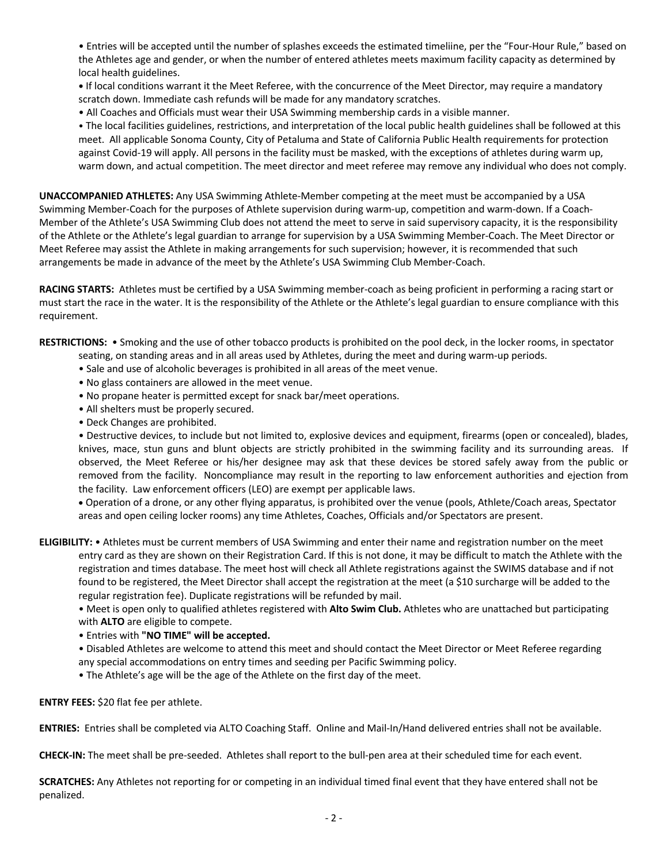• Entries will be accepted until the number of splashes exceeds the estimated timeliine, per the "Four-Hour Rule," based on the Athletes age and gender, or when the number of entered athletes meets maximum facility capacity as determined by local health guidelines.

**•** If local conditions warrant it the Meet Referee, with the concurrence of the Meet Director, may require a mandatory scratch down. Immediate cash refunds will be made for any mandatory scratches.

• All Coaches and Officials must wear their USA Swimming membership cards in a visible manner.

• The local facilities guidelines, restrictions, and interpretation of the local public health guidelines shall be followed at this meet. All applicable Sonoma County, City of Petaluma and State of California Public Health requirements for protection against Covid-19 will apply. All persons in the facility must be masked, with the exceptions of athletes during warm up, warm down, and actual competition. The meet director and meet referee may remove any individual who does not comply.

**UNACCOMPANIED ATHLETES:** Any USA Swimming Athlete-Member competing at the meet must be accompanied by a USA Swimming Member-Coach for the purposes of Athlete supervision during warm-up, competition and warm-down. If a Coach-Member of the Athlete's USA Swimming Club does not attend the meet to serve in said supervisory capacity, it is the responsibility of the Athlete or the Athlete's legal guardian to arrange for supervision by a USA Swimming Member-Coach. The Meet Director or Meet Referee may assist the Athlete in making arrangements for such supervision; however, it is recommended that such arrangements be made in advance of the meet by the Athlete's USA Swimming Club Member-Coach.

**RACING STARTS:** Athletes must be certified by a USA Swimming member-coach as being proficient in performing a racing start or must start the race in the water. It is the responsibility of the Athlete or the Athlete's legal guardian to ensure compliance with this requirement.

**RESTRICTIONS:** • Smoking and the use of other tobacco products is prohibited on the pool deck, in the locker rooms, in spectator

- seating, on standing areas and in all areas used by Athletes, during the meet and during warm-up periods.
	- Sale and use of alcoholic beverages is prohibited in all areas of the meet venue.
	- No glass containers are allowed in the meet venue.
	- No propane heater is permitted except for snack bar/meet operations.
	- All shelters must be properly secured.
	- Deck Changes are prohibited.

• Destructive devices, to include but not limited to, explosive devices and equipment, firearms (open or concealed), blades, knives, mace, stun guns and blunt objects are strictly prohibited in the swimming facility and its surrounding areas. If observed, the Meet Referee or his/her designee may ask that these devices be stored safely away from the public or removed from the facility. Noncompliance may result in the reporting to law enforcement authorities and ejection from the facility. Law enforcement officers (LEO) are exempt per applicable laws.

• Operation of a drone, or any other flying apparatus, is prohibited over the venue (pools, Athlete/Coach areas, Spectator areas and open ceiling locker rooms) any time Athletes, Coaches, Officials and/or Spectators are present.

**ELIGIBILITY:** • Athletes must be current members of USA Swimming and enter their name and registration number on the meet entry card as they are shown on their Registration Card. If this is not done, it may be difficult to match the Athlete with the registration and times database. The meet host will check all Athlete registrations against the SWIMS database and if not found to be registered, the Meet Director shall accept the registration at the meet (a \$10 surcharge will be added to the regular registration fee). Duplicate registrations will be refunded by mail.

• Meet is open only to qualified athletes registered with **Alto Swim Club.** Athletes who are unattached but participating with **ALTO** are eligible to compete.

• Entries with **"NO TIME" will be accepted.** 

• Disabled Athletes are welcome to attend this meet and should contact the Meet Director or Meet Referee regarding any special accommodations on entry times and seeding per Pacific Swimming policy.

• The Athlete's age will be the age of the Athlete on the first day of the meet.

**ENTRY FEES:** \$20 flat fee per athlete.

**ENTRIES:** Entries shall be completed via ALTO Coaching Staff. Online and Mail-In/Hand delivered entries shall not be available.

**CHECK-IN:** The meet shall be pre-seeded. Athletes shall report to the bull-pen area at their scheduled time for each event.

**SCRATCHES:** Any Athletes not reporting for or competing in an individual timed final event that they have entered shall not be penalized.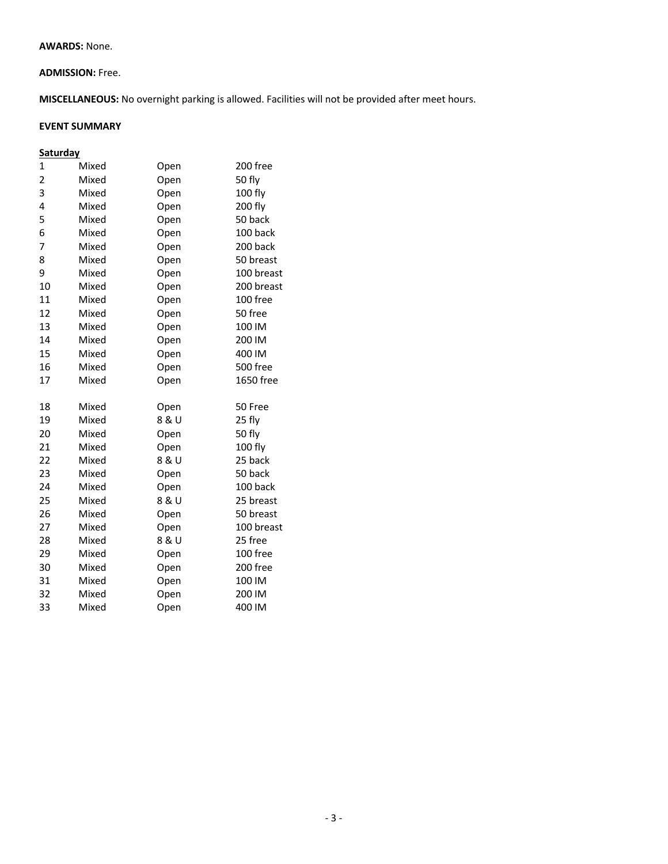#### **AWARDS:** None.

## **ADMISSION:** Free.

**MISCELLANEOUS:** No overnight parking is allowed. Facilities will not be provided after meet hours.

# **EVENT SUMMARY**

# **Saturday**

| 1  | Mixed | Open  | 200 free   |
|----|-------|-------|------------|
| 2  | Mixed | Open  | 50 fly     |
| 3  | Mixed | Open  | 100 fly    |
| 4  | Mixed | Open  | 200 fly    |
| 5  | Mixed | Open  | 50 back    |
| 6  | Mixed | Open  | 100 back   |
| 7  | Mixed | Open  | 200 back   |
| 8  | Mixed | Open  | 50 breast  |
| 9  | Mixed | Open  | 100 breast |
| 10 | Mixed | Open  | 200 breast |
| 11 | Mixed | Open  | 100 free   |
| 12 | Mixed | Open  | 50 free    |
| 13 | Mixed | Open  | 100 IM     |
| 14 | Mixed | Open  | 200 IM     |
| 15 | Mixed | Open  | 400 IM     |
| 16 | Mixed | Open  | 500 free   |
| 17 | Mixed | Open  | 1650 free  |
|    |       |       |            |
|    |       |       |            |
| 18 | Mixed | Open  | 50 Free    |
| 19 | Mixed | 8 & U | 25 fly     |
| 20 | Mixed | Open  | 50 fly     |
| 21 | Mixed | Open  | 100 fly    |
| 22 | Mixed | 8 & U | 25 back    |
| 23 | Mixed | Open  | 50 back    |
| 24 | Mixed | Open  | 100 back   |
| 25 | Mixed | 8 & U | 25 breast  |
| 26 | Mixed | Open  | 50 breast  |
| 27 | Mixed | Open  | 100 breast |
| 28 | Mixed | 8 & U | 25 free    |
| 29 | Mixed | Open  | 100 free   |
| 30 | Mixed | Open  | 200 free   |
| 31 | Mixed | Open  | 100 IM     |
| 32 | Mixed | Open  | 200 IM     |
| 33 | Mixed | Open  | 400 IM     |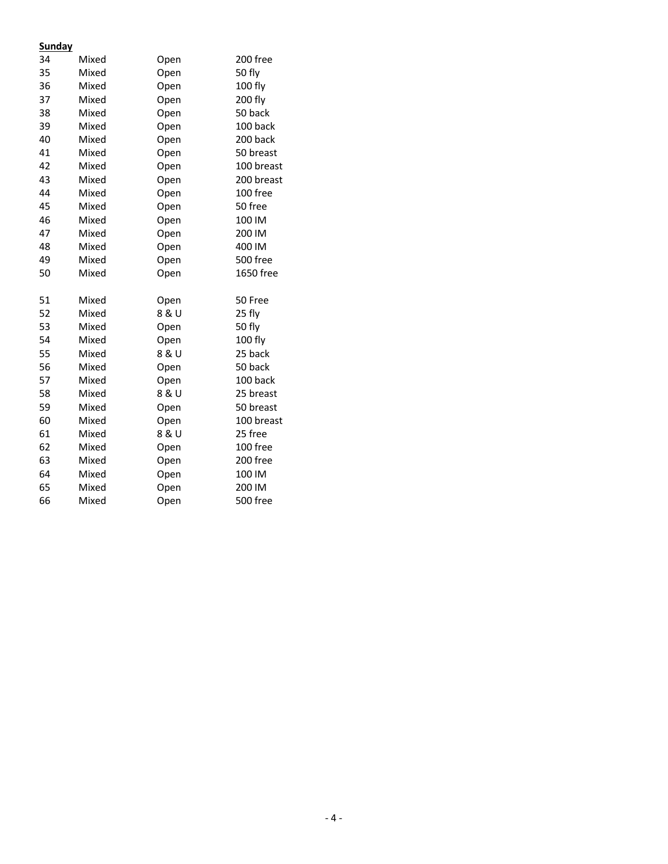## **Sunday**

|    | - 1   |       |                 |
|----|-------|-------|-----------------|
| 34 | Mixed | Open  | 200 free        |
| 35 | Mixed | Open  | 50 fly          |
| 36 | Mixed | Open  | 100 fly         |
| 37 | Mixed | Open  | 200 fly         |
| 38 | Mixed | Open  | 50 back         |
| 39 | Mixed | Open  | 100 back        |
| 40 | Mixed | Open  | 200 back        |
| 41 | Mixed | Open  | 50 breast       |
| 42 | Mixed | Open  | 100 breast      |
| 43 | Mixed | Open  | 200 breast      |
| 44 | Mixed | Open  | 100 free        |
| 45 | Mixed | Open  | 50 free         |
| 46 | Mixed | Open  | 100 IM          |
| 47 | Mixed | Open  | 200 IM          |
| 48 | Mixed | Open  | 400 IM          |
| 49 | Mixed | Open  | 500 free        |
| 50 | Mixed | Open  | 1650 free       |
|    |       |       |                 |
| 51 | Mixed | Open  | 50 Free         |
| 52 | Mixed | 8 & U | 25 fly          |
| 53 | Mixed | Open  | 50 fly          |
| 54 | Mixed | Open  | 100 fly         |
| 55 | Mixed | 8 & U | 25 back         |
| 56 | Mixed | Open  | 50 back         |
| 57 | Mixed | Open  | 100 back        |
| 58 | Mixed | 8 & U | 25 breast       |
| 59 | Mixed | Open  | 50 breast       |
| 60 | Mixed | Open  | 100 breast      |
| 61 | Mixed | 8 & U | 25 free         |
| 62 | Mixed | Open  | 100 free        |
| 63 | Mixed | Open  | 200 free        |
| 64 | Mixed | Open  | 100 IM          |
| 65 | Mixed | Open  | 200 IM          |
| 66 | Mixed | Open  | <b>500 free</b> |